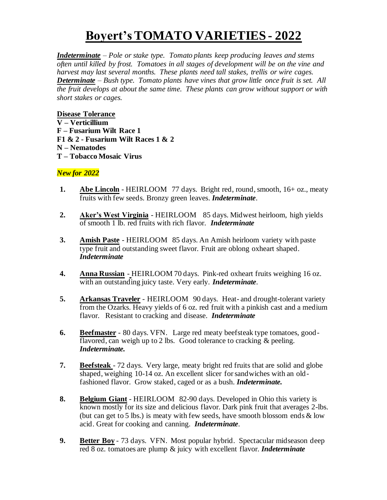## **Boyert's TOMATO VARIETIES - 2022**

*Indeterminate – Pole or stake type. Tomato plants keep producing leaves and stems often until killed by frost. Tomatoes in all stages of development will be on the vine and harvest may last several months. These plants need tall stakes, trellis or wire cages. Determinate – Bush type. Tomato plants have vines that grow little once fruit is set. All the fruit develops at about the same time. These plants can grow without support or with short stakes or cages.*

**Disease Tolerance V – Verticillium F – Fusarium Wilt Race 1 F1 & 2 - Fusarium Wilt Races 1 & 2 N – Nematodes T – Tobacco Mosaic Virus**

## *New for 2022*

- **1. Abe Lincoln** HEIRLOOM 77 days. Bright red, round, smooth, 16+ oz., meaty fruits with few seeds. Bronzy green leaves. *Indeterminate*.
- **2. Aker's West Virginia** HEIRLOOM 85 days. Midwest heirloom, high yields of smooth 1 lb. red fruits with rich flavor. *Indeterminate*
- **3. Amish Paste** HEIRLOOM 85 days. An Amish heirloom variety with paste type fruit and outstanding sweet flavor. Fruit are oblong oxheart shaped. *Indeterminate*
- **4. Anna Russian** HEIRLOOM 70 days. Pink-red oxheart fruits weighing 16 oz. with an outstanding juicy taste. Very early. *Indeterminate*.
- **5. Arkansas Traveler** HEIRLOOM 90 days. Heat- and drought-tolerant variety from the Ozarks. Heavy yields of 6 oz. red fruit with a pinkish cast and a medium flavor. Resistant to cracking and disease. *Indeterminate*
- **6. Beefmaster** 80 days. VFN. Large red meaty beefsteak type tomatoes, goodflavored, can weigh up to 2 lbs. Good tolerance to cracking & peeling. *Indeterminate.*
- **7. Beefsteak**  72 days. Very large, meaty bright red fruits that are solid and globe shaped, weighing 10-14 oz. An excellent slicer for sandwiches with an oldfashioned flavor. Grow staked, caged or as a bush. *Indeterminate.*
- **8. Belgium Giant** HEIRLOOM 82-90 days. Developed in Ohio this variety is known mostly for its size and delicious flavor. Dark pink fruit that averages 2-lbs. (but can get to 5 lbs.) is meaty with few seeds, have smooth blossom ends & low acid. Great for cooking and canning. *Indeterminate*.
- **9. Better Boy** 73 days. VFN. Most popular hybrid. Spectacular midseason deep red 8 oz. tomatoes are plump & juicy with excellent flavor. *Indeterminate*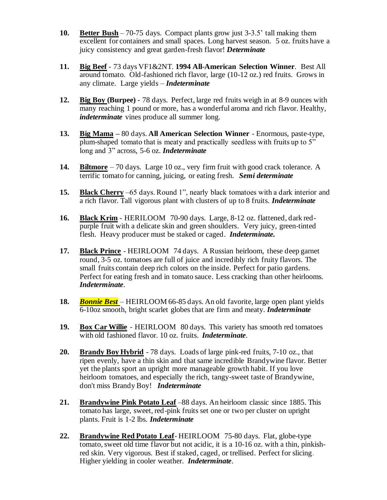- **10. Better Bush** 70-75 days. Compact plants grow just 3-3.5' tall making them excellent for containers and small spaces. Long harvest season. 5 oz. fruits have a juicy consistency and great garden-fresh flavor! *Determinate*
- **11. Big Beef** 73 days VF1&2NT. **1994 All-American Selection Winner**. Best All around tomato. Old-fashioned rich flavor, large (10-12 oz.) red fruits. Grows in any climate. Large yields – *Indeterminate*
- **12. Big Boy (Burpee)** 78 days. Perfect, large red fruits weigh in at 8-9 ounces with many reaching 1 pound or more, has a wonderful aroma and rich flavor. Healthy, *indeterminate* vines produce all summer long.
- **13. Big Mama –** 80 days. **All American Selection Winner** Enormous, paste-type, plum-shaped tomato that is meaty and practically seedless with fruits up to 5" long and 3" across, 5-6 oz. *Indeterminate*
- **14. Biltmore** 70 days. Large 10 oz., very firm fruit with good crack tolerance. A terrific tomato for canning, juicing, or eating fresh. *Semi determinate*
- **15. Black Cherry** –65 days. Round 1", nearly black tomatoes with a dark interior and a rich flavor. Tall vigorous plant with clusters of up to 8 fruits. *Indeterminate*
- **16. Black Krim** HERILOOM 70-90 days. Large, 8-12 oz. flattened, dark redpurple fruit with a delicate skin and green shoulders. Very juicy, green-tinted flesh. Heavy producer must be staked or caged. *Indeterminate.*
- **17. Black Prince** HEIRLOOM 74 days. A Russian heirloom, these deep garnet round, 3-5 oz. tomatoes are full of juice and incredibly rich fruity flavors. The small fruits contain deep rich colors on the inside. Perfect for patio gardens. Perfect for eating fresh and in tomato sauce. Less cracking than other heirlooms. *Indeterminate*.
- **18.** *Bonnie Best* HEIRLOOM 66-85 days. An old favorite, large open plant yields 6-10oz smooth, bright scarlet globes that are firm and meaty. *Indeterminate*
- **19. Box Car Willie** HEIRLOOM 80 days. This variety has smooth red tomatoes with old fashioned flavor. 10 oz. fruits. *Indeterminate*.
- **20. Brandy Boy Hybrid** 78 days. Loads of large pink-red fruits, 7-10 oz., that ripen evenly, have a thin skin and that same incredible Brandywine flavor. Better yet the plants sport an upright more manageable growth habit. If you love heirloom tomatoes, and especially the rich, tangy-sweet taste of Brandywine, don't miss Brandy Boy! *Indeterminate*
- **21. Brandywine Pink Potato Leaf** –88 days. An heirloom classic since 1885. This tomato has large, sweet, red-pink fruits set one or two per cluster on upright plants. Fruit is 1-2 lbs. *Indeterminate*
- **22. Brandywine Red Potato Leaf** HEIRLOOM 75-80 days. Flat, globe-type tomato, sweet old time flavor but not acidic, it is a 10-16 oz. with a thin, pinkishred skin. Very vigorous. Best if staked, caged, or trellised. Perfect for slicing. Higher yielding in cooler weather. *Indeterminate*.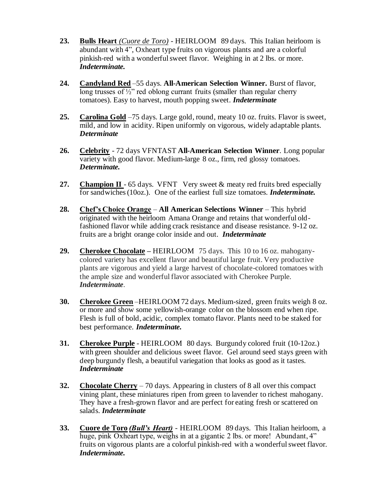- **23. Bulls Heart** *(Cuore de Toro)* HEIRLOOM 89 days. This Italian heirloom is abundant with 4", Oxheart type fruits on vigorous plants and are a colorful pinkish-red with a wonderful sweet flavor. Weighing in at 2 lbs. or more. *Indeterminate.*
- **24. Candyland Red** –55 days. **All-American Selection Winner.** Burst of flavor, long trusses of  $\frac{1}{2}$ " red oblong currant fruits (smaller than regular cherry tomatoes). Easy to harvest, mouth popping sweet. *Indeterminate*
- **25. Carolina Gold** –75 days. Large gold, round, meaty 10 oz. fruits. Flavor is sweet, mild, and low in acidity. Ripen uniformly on vigorous, widely adaptable plants. *Determinate*
- **26. Celebrity** 72 days VFNTAST **All-American Selection Winner**. Long popular variety with good flavor. Medium-large 8 oz., firm, red glossy tomatoes. *Determinate.*
- **27. Champion II** 65 days. VFNT Very sweet & meaty red fruits bred especially for sandwiches (10oz.).One of the earliest full size tomatoes. *Indeterminate.*
- **28. Chef's Choice Orange All American Selections Winner** This hybrid originated with the heirloom Amana Orange and retains that wonderful oldfashioned flavor while adding crack resistance and disease resistance. 9-12 oz. fruits are a bright orange color inside and out. *Indeterminate*
- **29. Cherokee Chocolate –** HEIRLOOM75 days. This 10 to 16 oz. mahoganycolored variety has excellent flavor and beautiful large fruit. Very productive plants are vigorous and yield a large harvest of chocolate-colored tomatoes with the ample size and wonderful flavor associated with Cherokee Purple. *Indeterminate.*
- **30. Cherokee Green** –HEIRLOOM 72 days. Medium-sized, green fruits weigh 8 oz. or more and show some yellowish-orange color on the blossom end when ripe. Flesh is full of bold, acidic, complex tomato flavor. Plants need to be staked for best performance. *Indeterminate.*
- **31. Cherokee Purple** HEIRLOOM 80 days. Burgundy colored fruit (10-12oz.) with green shoulder and delicious sweet flavor. Gel around seed stays green with deep burgundy flesh, a beautiful variegation that looks as good as it tastes. *Indeterminate*
- **32. Chocolate Cherry** 70 days. Appearing in clusters of 8 all over this compact vining plant, these miniatures ripen from green to lavender to richest mahogany. They have a fresh-grown flavor and are perfect for eating fresh or scattered on salads. *Indeterminate*
- **33. Cuore de Toro** *(Bull's Heart)* HEIRLOOM 89 days. This Italian heirloom, a huge, pink Oxheart type, weighs in at a gigantic 2 lbs. or more! Abundant, 4" fruits on vigorous plants are a colorful pinkish-red with a wonderful sweet flavor. *Indeterminate.*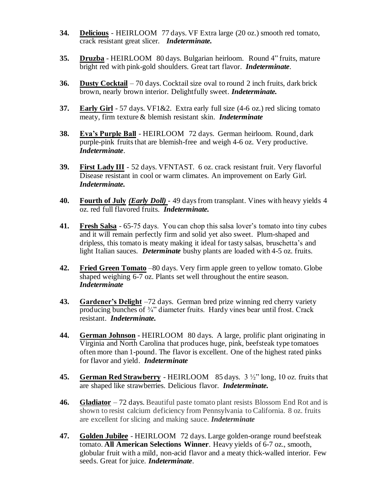- **34. Delicious** HEIRLOOM 77 days. VF Extra large (20 oz.) smooth red tomato, crack resistant great slicer. *Indeterminate.*
- **35. Druzba** HEIRLOOM 80 days. Bulgarian heirloom. Round 4" fruits, mature bright red with pink-gold shoulders. Great tart flavor. *Indeterminate*.
- **36. Dusty Cocktail** 70 days. Cocktail size oval to round 2 inch fruits, dark brick brown, nearly brown interior. Delightfully sweet. *Indeterminate.*
- **37. Early Girl** 57 days. VF1&2. Extra early full size (4-6 oz.) red slicing tomato meaty, firm texture & blemish resistant skin. *Indeterminate*
- **38. Eva's Purple Ball** HEIRLOOM 72 days. German heirloom. Round, dark purple-pink fruits that are blemish-free and weigh 4-6 oz. Very productive. *Indeterminate*.
- **39. First Lady III** 52 days. VFNTAST. 6 oz. crack resistant fruit. Very flavorful Disease resistant in cool or warm climates. An improvement on Early Girl. *Indeterminate.*
- **40. Fourth of July** *(Early Doll) -* 49 days from transplant. Vines with heavy yields 4 oz. red full flavored fruits. *Indeterminate.*
- **41. Fresh Salsa** 65-75 days. You can chop this salsa lover's tomato into tiny cubes and it will remain perfectly firm and solid yet also sweet. Plum-shaped and dripless, this tomato is meaty making it ideal for tasty salsas, bruschetta's and light Italian sauces. *Determinate* bushy plants are loaded with 4-5 oz. fruits.
- **42. Fried Green Tomato** –80 days. Very firm apple green to yellow tomato. Globe shaped weighing 6-7 oz. Plants set well throughout the entire season. *Indeterminate*
- **43. Gardener's Delight** –72 days. German bred prize winning red cherry variety producing bunches of 3/4" diameter fruits. Hardy vines bear until frost. Crack resistant. *Indeterminate.*
- **44. German Johnson -** HEIRLOOM 80 days. A large, prolific plant originating in Virginia and North Carolina that produces huge, pink, beefsteak type tomatoes often more than 1-pound. The flavor is excellent. One of the highest rated pinks for flavor and yield. *Indeterminate*
- **45. German Red Strawberry** HEIRLOOM 85 days. 3 ½" long, 10 oz. fruits that are shaped like strawberries. Delicious flavor. *Indeterminate.*
- **46. Gladiator** 72 days. Beautiful paste tomato plant resists Blossom End Rot and is shown to resist calcium deficiency from Pennsylvania to California. 8 oz. fruits are excellent for slicing and making sauce. *Indeterminate*
- **47. Golden Jubilee** HEIRLOOM 72 days. Large golden-orange round beefsteak tomato. **All American Selections Winner**. Heavy yields of 6-7 oz., smooth, globular fruit with a mild, non-acid flavor and a meaty thick-walled interior. Few seeds. Great for juice. *Indeterminate*.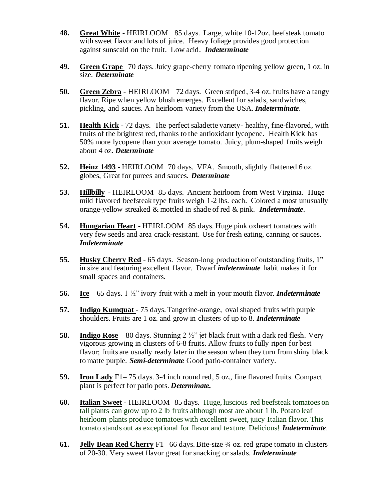- **48. Great White** HEIRLOOM 85 days. Large, white 10-12oz. beefsteak tomato with sweet flavor and lots of juice. Heavy foliage provides good protection against sunscald on the fruit. Low acid. *Indeterminate*
- **49. Green Grape** –70 days. Juicy grape-cherry tomato ripening yellow green, 1 oz. in size. *Determinate*
- **50. Green Zebra** HEIRLOOM 72 days. Green striped, 3-4 oz. fruits have a tangy flavor. Ripe when yellow blush emerges. Excellent for salads, sandwiches, pickling, and sauces. An heirloom variety from the USA. *Indeterminate*.
- **51. Health Kick** 72 days. The perfect saladette variety- healthy, fine-flavored, with fruits of the brightest red, thanks to the antioxidant lycopene. Health Kick has 50% more lycopene than your average tomato. Juicy, plum-shaped fruits weigh about 4 oz. *Determinate*
- **52. Heinz 1493** HEIRLOOM 70 days. VFA. Smooth, slightly flattened 6 oz. globes, Great for purees and sauces. *Determinate*
- **53. Hillbilly** HEIRLOOM 85 days. Ancient heirloom from West Virginia. Huge mild flavored beefsteak type fruits weigh 1-2 lbs. each. Colored a most unusually orange-yellow streaked & mottled in shade of red & pink. *Indeterminate*.
- **54. Hungarian Heart** HEIRLOOM 85 days. Huge pink oxheart tomatoes with very few seeds and area crack-resistant. Use for fresh eating, canning or sauces. *Indeterminate*
- **55. Husky Cherry Red** 65 days. Season-long production of outstanding fruits, 1" in size and featuring excellent flavor. Dwarf *indeterminate* habit makes it for small spaces and containers.
- **56. Ice** 65 days. 1 ½" ivory fruit with a melt in your mouth flavor. *Indeterminate*
- **57. Indigo Kumquat**  75 days. Tangerine-orange, oval shaped fruits with purple shoulders. Fruits are 1 oz. and grow in clusters of up to 8. *Indeterminate*
- **58. Indigo Rose** 80 days. Stunning 2 ½" jet black fruit with a dark red flesh. Very vigorous growing in clusters of 6-8 fruits. Allow fruits to fully ripen for best flavor; fruits are usually ready later in the season when they turn from shiny black to matte purple. *Semi-determinate* Good patio-container variety.
- **59. Iron Lady** F1– 75 days. 3-4 inch round red, 5 oz., fine flavored fruits. Compact plant is perfect for patio pots. *Determinate.*
- **60. Italian Sweet** HEIRLOOM 85 days. Huge, luscious red beefsteak tomatoes on tall plants can grow up to 2 lb fruits although most are about 1 lb. Potato leaf heirloom plants produce tomatoes with excellent sweet, juicy Italian flavor. This tomato stands out as exceptional for flavor and texture. Delicious! *Indeterminate*.
- **61. Jelly Bean Red Cherry** F1– 66 days. Bite-size ¾ oz. red grape tomato in clusters of 20-30. Very sweet flavor great for snacking or salads. *Indeterminate*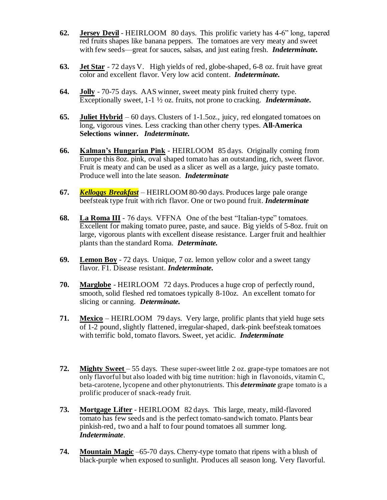- **62. Jersey Devil** HEIRLOOM 80 days. This prolific variety has 4-6" long, tapered red fruits shapes like banana peppers. The tomatoes are very meaty and sweet with few seeds—great for sauces, salsas, and just eating fresh. *Indeterminate.*
- **63. Jet Star** 72 days V. High yields of red, globe-shaped, 6-8 oz. fruit have great color and excellent flavor. Very low acid content. *Indeterminate.*
- **64. Jolly** 70-75 days. AAS winner, sweet meaty pink fruited cherry type. Exceptionally sweet, 1-1 ½ oz. fruits, not prone to cracking. *Indeterminate.*
- **65. Juliet Hybrid** 60 days. Clusters of 1-1.5oz., juicy, red elongated tomatoes on long, vigorous vines. Less cracking than other cherry types. **All-America Selections winner.** *Indeterminate.*
- **66. Kalman's Hungarian Pink** HEIRLOOM 85 days. Originally coming from Europe this 8oz. pink, oval shaped tomato has an outstanding, rich, sweet flavor. Fruit is meaty and can be used as a slicer as well as a large, juicy paste tomato. Produce well into the late season. *Indeterminate*
- **67.** *Kelloggs Breakfast* HEIRLOOM 80-90 days. Produces large pale orange beefsteak type fruit with rich flavor. One or two pound fruit. *Indeterminate*
- **68. La Roma III** 76 days. VFFNA One of the best "Italian-type" tomatoes. Excellent for making tomato puree, paste, and sauce. Big yields of 5-8oz. fruit on large, vigorous plants with excellent disease resistance. Larger fruit and healthier plants than the standard Roma. *Determinate.*
- **69. Lemon Boy** 72 days. Unique, 7 oz. lemon yellow color and a sweet tangy flavor. F1. Disease resistant. *Indeterminate.*
- **70. Marglobe** HEIRLOOM 72 days. Produces a huge crop of perfectly round, smooth, solid fleshed red tomatoes typically 8-10oz. An excellent tomato for slicing or canning. *Determinate.*
- **71. Mexico** HEIRLOOM 79 days. Very large, prolific plants that yield huge sets of 1-2 pound, slightly flattened, irregular-shaped, dark-pink beefsteak tomatoes with terrific bold, tomato flavors. Sweet, yet acidic. *Indeterminate*
- **72. Mighty Sweet** 55 days. These super-sweet little 2 oz. grape-type tomatoes are not only flavorful but also loaded with big time nutrition: high in flavonoids, vitamin C, beta-carotene, lycopene and other phytonutrients. This *determinate* grape tomato is a prolific producer of snack-ready fruit.
- **73. Mortgage Lifter** HEIRLOOM 82 days. This large, meaty, mild-flavored tomato has few seeds and is the perfect tomato-sandwich tomato. Plants bear pinkish-red, two and a half to four pound tomatoes all summer long. *Indeterminate*.
- **74. Mountain Magic** –65-70 days. Cherry-type tomato that ripens with a blush of black-purple when exposed to sunlight. Produces all season long. Very flavorful.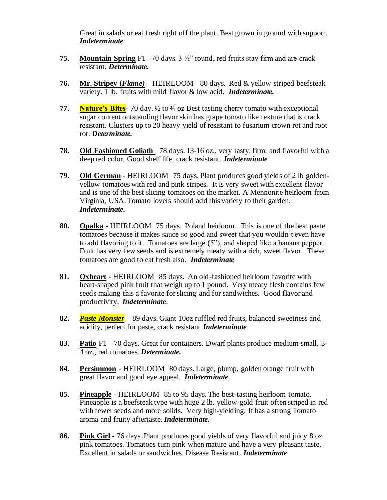Great in salads or eat fresh right off the plant. Best grown in ground with support. *Indeterminate*

- **75. Mountain Spring** F1– 70 days. 3 ½" round, red fruits stay firm and are crack resistant. *Determinate.*
- **76. Mr. Stripey (***Flame)* HEIRLOOM 80 days. Red & yellow striped beefsteak variety. 1 lb. fruits with mild flavor & low acid. *Indeterminate.*
- **77. Nature's Bites**-70 day.  $\frac{1}{2}$  to  $\frac{3}{4}$  oz Best tasting cherry tomato with exceptional sugar content outstanding flavor skin has grape tomato like texture that is crack resistant. Clusters up to 20 heavy yield of resistant to fusarium crown rot and root rot. *Determinate.*
- **78. Old Fashioned Goliath** –78 days. 13-16 oz., very tasty, firm, and flavorful with a deep red color. Good shelf life, crack resistant. *Indeterminate*
- **79. Old German** HEIRLOOM 75 days. Plant produces good yields of 2 lb goldenyellow tomatoes with red and pink stripes. It is very sweet with excellent flavor and is one of the best slicing tomatoes on the market. A Mennonite heirloom from Virginia, USA. Tomato lovers should add this variety to their garden. *Indeterminate.*
- **80. Opalka** HEIRLOOM 75 days. Poland heirloom. This is one of the best paste tomatoes because it makes sauce so good and sweet that you wouldn't even have to add flavoring to it. Tomatoes are large (5"), and shaped like a banana pepper. Fruit has very few seeds and is extremely meaty with a rich, sweet flavor. These tomatoes are good to eat fresh also. *Indeterminate*
- **81. Oxheart** HEIRLOOM 85 days. An old-fashioned heirloom favorite with heart-shaped pink fruit that weigh up to 1 pound. Very meaty flesh contains few seeds making this a favorite for slicing and for sandwiches. Good flavor and productivity. *Indeterminate*.
- **82.** *Paste Monster* 89 days. Giant 10oz ruffled red fruits, balanced sweetness and acidity, perfect for paste, crack resistant *Indeterminate*
- **83. Patio** F1 70 days. Great for containers. Dwarf plants produce medium-small, 3- 4 oz., red tomatoes. *Determinate.*
- **84. Persimmon** HEIRLOOM 80 days. Large, plump, golden orange fruit with great flavor and good eye appeal. *Indeterminate*.
- **85. Pineapple** HEIRLOOM 85 to 95 days. The best-tasting heirloom tomato. Pineapple is a beefsteak type with huge 2 lb. yellow-gold fruit often striped in red with fewer seeds and more solids. Very high-yielding. It has a strong Tomato aroma and fruity aftertaste. *Indeterminate.*
- **86. Pink Girl** 76 days. Plant produces good yields of very flavorful and juicy 8 oz pink tomatoes. Tomatoes turn pink when mature and have a very pleasant taste. Excellent in salads or sandwiches. Disease Resistant. *Indeterminate*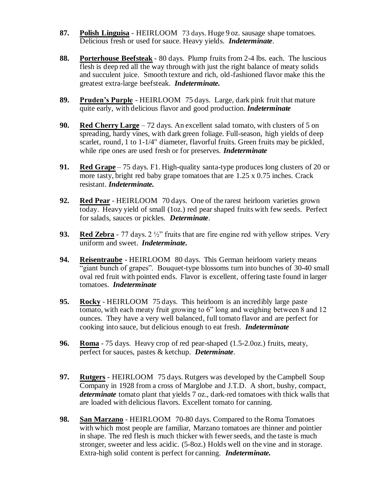- **87. Polish Linguisa** HEIRLOOM73 days. Huge 9 oz. sausage shape tomatoes. Delicious fresh or used for sauce. Heavy yields. *Indeterminate*.
- **88. Porterhouse Beefsteak** 80 days. Plump fruits from 2-4 lbs. each. The luscious flesh is deep red all the way through with just the right balance of meaty solids and succulent juice. Smooth texture and rich, old-fashioned flavor make this the greatest extra-large beefsteak. *Indeterminate.*
- **89. Pruden's Purple** HEIRLOOM 75 days. Large, dark pink fruit that mature quite early, with delicious flavor and good production. *Indeterminate*
- **90. Red Cherry Large** 72 days. An excellent salad tomato, with clusters of 5 on spreading, hardy vines, with dark green foliage. Full-season, high yields of deep scarlet, round, 1 to 1-1/4" diameter, flavorful fruits. Green fruits may be pickled, while ripe ones are used fresh or for preserves. *Indeterminate*
- **91. Red Grape** 75 days. F1. High-quality santa-type produces long clusters of 20 or more tasty, bright red baby grape tomatoes that are 1.25 x 0.75 inches. Crack resistant. *Indeterminate.*
- **92. Red Pear** HEIRLOOM 70 days. One of the rarest heirloom varieties grown today. Heavy yield of small (1oz.) red pear shaped fruits with few seeds. Perfect for salads, sauces or pickles. *Determinate*.
- **93. Red Zebra** 77 days. 2 ½" fruits that are fire engine red with yellow stripes. Very uniform and sweet. *Indeterminate.*
- **94. Reisentraube** HEIRLOOM 80 days. This German heirloom variety means "giant bunch of grapes". Bouquet-type blossoms turn into bunches of 30-40 small oval red fruit with pointed ends. Flavor is excellent, offering taste found in larger tomatoes. *Indeterminate*
- **95. Rocky** HEIRLOOM 75 days. This heirloom is an incredibly large paste tomato, with each meaty fruit growing to 6" long and weighing between 8 and 12 ounces. They have a very well balanced, full tomato flavor and are perfect for cooking into sauce, but delicious enough to eat fresh. *Indeterminate*
- **96. Roma** 75 days. Heavy crop of red pear-shaped (1.5-2.0oz.) fruits, meaty, perfect for sauces, pastes & ketchup. *Determinate*.
- **97. Rutgers** HEIRLOOM 75 days. Rutgers was developed by the Campbell Soup Company in 1928 from a cross of Marglobe and J.T.D. A short, bushy, compact, *determinate* tomato plant that yields 7 oz., dark-red tomatoes with thick walls that are loaded with delicious flavors. Excellent tomato for canning.
- **98. San Marzano** HEIRLOOM 70-80 days. Compared to the Roma Tomatoes with which most people are familiar, Marzano tomatoes are thinner and pointier in shape. The red flesh is much thicker with fewer seeds, and the taste is much stronger, sweeter and less acidic. (5-8oz.) Holds well on the vine and in storage. Extra-high solid content is perfect for canning. *Indeterminate.*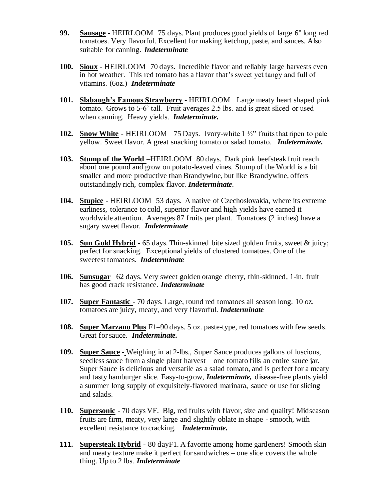- **99. Sausage** HEIRLOOM 75 days. Plant produces good yields of large 6" long red tomatoes. Very flavorful. Excellent for making ketchup, paste, and sauces. Also suitable for canning. *Indeterminate*
- **100. Sioux** HEIRLOOM 70 days. Incredible flavor and reliably large harvests even in hot weather. This red tomato has a flavor that's sweet yet tangy and full of vitamins. (6oz.) *Indeterminate*
- **101. Slabaugh's Famous Strawberry** HEIRLOOM Large meaty heart shaped pink tomato. Grows to 5-6' tall. Fruit averages 2.5 lbs. and is great sliced or used when canning. Heavy yields. *Indeterminate.*
- **102. Snow White** HEIRLOOM75 Days. Ivory-white 1 ½" fruits that ripen to pale yellow. Sweet flavor. A great snacking tomato or salad tomato. *Indeterminate.*
- **103. Stump of the World** –HEIRLOOM 80 days. Dark pink beefsteak fruit reach about one pound and grow on potato-leaved vines. Stump of the World is a bit smaller and more productive than Brandywine, but like Brandywine, offers outstandingly rich, complex flavor. *Indeterminate*.
- **104. Stupice** HEIRLOOM 53 days. A native of Czechoslovakia, where its extreme earliness, tolerance to cold, superior flavor and high yields have earned it worldwide attention. Averages 87 fruits per plant. Tomatoes (2 inches) have a sugary sweet flavor. *Indeterminate*
- **105. Sun Gold Hybrid** 65 days. Thin-skinned bite sized golden fruits, sweet & juicy; perfect for snacking. Exceptional yields of clustered tomatoes. One of the sweetest tomatoes. *Indeterminate*
- **106. Sunsugar** –62 days. Very sweet golden orange cherry, thin-skinned, 1-in. fruit has good crack resistance. *Indeterminate*
- **107. Super Fantastic**  70 days. Large, round red tomatoes all season long. 10 oz. tomatoes are juicy, meaty, and very flavorful. *Indeterminate*
- **108. Super Marzano Plus** F1–90 days. 5 oz. paste-type, red tomatoes with few seeds. Great for sauce. *Indeterminate.*
- **109. Super Sauce** Weighing in at 2-lbs., Super Sauce produces gallons of luscious, seedless sauce from a single plant harvest—one tomato fills an entire sauce jar. Super Sauce is delicious and versatile as a salad tomato, and is perfect for a meaty and tasty hamburger slice. Easy-to-grow, *Indeterminate,* disease-free plants yield a summer long supply of exquisitely-flavored marinara, sauce or use for slicing and salads.
- **110. Supersonic** 70 days VF. Big, red fruits with flavor, size and quality! Midseason fruits are firm, meaty, very large and slightly oblate in shape - smooth, with excellent resistance to cracking. *Indeterminate.*
- **111. Supersteak Hybrid** 80 dayF1. A favorite among home gardeners! Smooth skin and meaty texture make it perfect for sandwiches – one slice covers the whole thing. Up to 2 lbs. *Indeterminate*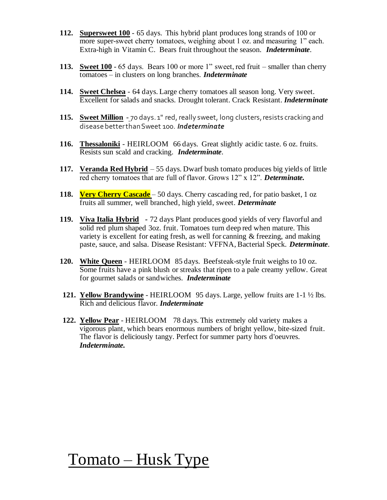- **112. Supersweet 100** 65 days. This hybrid plant produces long strands of 100 or more super-sweet cherry tomatoes, weighing about 1 oz. and measuring 1" each. Extra-high in Vitamin C. Bears fruit throughout the season. *Indeterminate*.
- **113. Sweet 100** 65 days. Bears 100 or more 1" sweet, red fruit smaller than cherry tomatoes – in clusters on long branches. *Indeterminate*
- **114. Sweet Chelsea** 64 days. Large cherry tomatoes all season long. Very sweet. Excellent for salads and snacks. Drought tolerant. Crack Resistant. *Indeterminate*
- **115. Sweet Million** 70 days. 1" red, really sweet, long clusters, resists cracking and disease better than Sweet 100. *Indeterminate*
- **116. Thessaloniki** HEIRLOOM 66 days. Great slightly acidic taste. 6 oz. fruits. Resists sun scald and cracking. *Indeterminate*.
- **117. Veranda Red Hybrid** 55 days. Dwarf bush tomato produces big yields of little red cherry tomatoes that are full of flavor. Grows 12" x 12". *Determinate.*
- **118. Very Cherry Cascade** 50 days. Cherry cascading red, for patio basket, 1 oz fruits all summer, well branched, high yield, sweet. *Determinate*
- **119. Viva Italia Hybrid** *-* 72 days Plant produces good yields of very flavorful and solid red plum shaped 3oz. fruit. Tomatoes turn deep red when mature. This variety is excellent for eating fresh, as well for canning & freezing, and making paste, sauce, and salsa. Disease Resistant: VFFNA, Bacterial Speck. *Determinate*.
- **120. White Queen** HEIRLOOM 85 days. Beefsteak-style fruit weighs to 10 oz. Some fruits have a pink blush or streaks that ripen to a pale creamy yellow. Great for gourmet salads or sandwiches. *Indeterminate*
- **121. Yellow Brandywine** HEIRLOOM 95 days. Large, yellow fruits are 1-1 ½ lbs. Rich and delicious flavor. *Indeterminate*
- **122. Yellow Pear** HEIRLOOM 78 days. This extremely old variety makes a vigorous plant, which bears enormous numbers of bright yellow, bite-sized fruit. The flavor is deliciously tangy. Perfect for summer party hors d'oeuvres. *Indeterminate.*

## Tomato – Husk Type